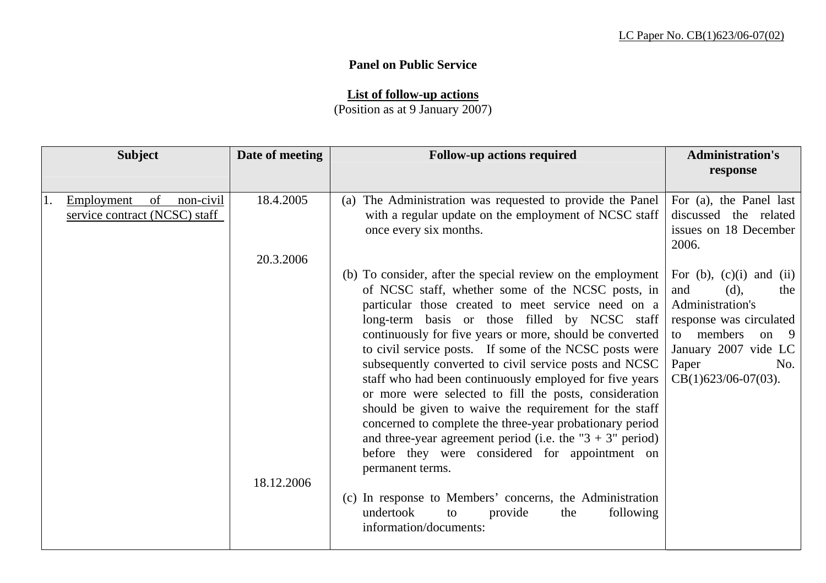## **Panel on Public Service**

**List of follow-up actions**

(Position as at 9 January 2007)

| <b>Subject</b>                                                       | Date of meeting         | <b>Follow-up actions required</b>                                                                                                                                                                                                                                                                                                                                                                                                                                                                                                                                                                                                                                                                                                                                                                                                                                                                                                 | <b>Administration's</b><br>response                                                                                                                                                               |
|----------------------------------------------------------------------|-------------------------|-----------------------------------------------------------------------------------------------------------------------------------------------------------------------------------------------------------------------------------------------------------------------------------------------------------------------------------------------------------------------------------------------------------------------------------------------------------------------------------------------------------------------------------------------------------------------------------------------------------------------------------------------------------------------------------------------------------------------------------------------------------------------------------------------------------------------------------------------------------------------------------------------------------------------------------|---------------------------------------------------------------------------------------------------------------------------------------------------------------------------------------------------|
| Employment<br>of<br>non-civil<br>1.<br>service contract (NCSC) staff | 18.4.2005               | The Administration was requested to provide the Panel<br>(a)<br>with a regular update on the employment of NCSC staff<br>once every six months.                                                                                                                                                                                                                                                                                                                                                                                                                                                                                                                                                                                                                                                                                                                                                                                   | For (a), the Panel last<br>discussed the related<br>issues on 18 December<br>2006.                                                                                                                |
|                                                                      | 20.3.2006<br>18.12.2006 | (b) To consider, after the special review on the employment<br>of NCSC staff, whether some of the NCSC posts, in<br>particular those created to meet service need on a<br>long-term basis or those filled by NCSC staff<br>continuously for five years or more, should be converted<br>to civil service posts. If some of the NCSC posts were<br>subsequently converted to civil service posts and NCSC<br>staff who had been continuously employed for five years<br>or more were selected to fill the posts, consideration<br>should be given to waive the requirement for the staff<br>concerned to complete the three-year probationary period<br>and three-year agreement period (i.e. the " $3 + 3$ " period)<br>before they were considered for appointment on<br>permanent terms.<br>(c) In response to Members' concerns, the Administration<br>undertook<br>following<br>provide<br>the<br>to<br>information/documents: | For $(b)$ , $(c)(i)$ and $(ii)$<br>(d),<br>and<br>the<br>Administration's<br>response was circulated<br>to members<br>on<br>- 9<br>January 2007 vide LC<br>Paper<br>No.<br>$CB(1)623/06-07(03)$ . |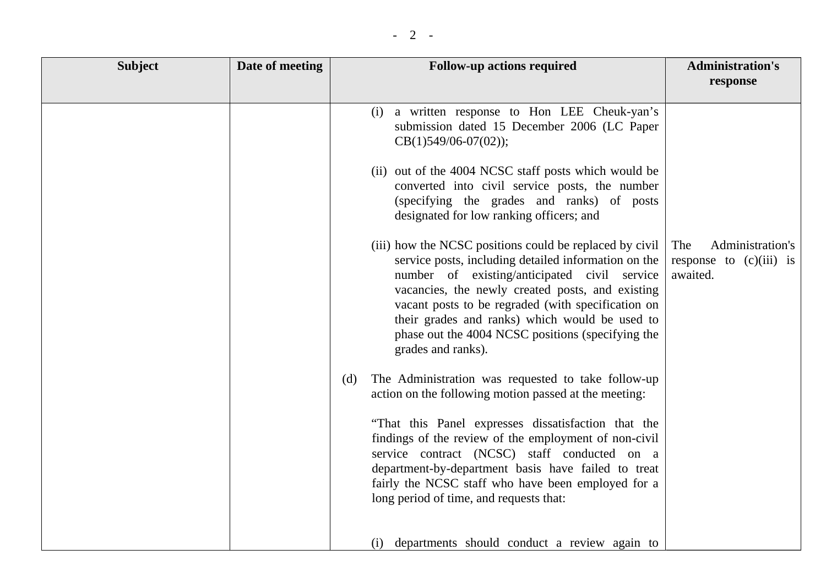|--|

| <b>Subject</b> | Date of meeting | <b>Follow-up actions required</b>                                                                                                                                                                                                                                                                                                                                                                      | <b>Administration's</b>                                          |
|----------------|-----------------|--------------------------------------------------------------------------------------------------------------------------------------------------------------------------------------------------------------------------------------------------------------------------------------------------------------------------------------------------------------------------------------------------------|------------------------------------------------------------------|
|                |                 |                                                                                                                                                                                                                                                                                                                                                                                                        | response                                                         |
|                |                 | a written response to Hon LEE Cheuk-yan's<br>(i)<br>submission dated 15 December 2006 (LC Paper<br>$CB(1)549/06-07(02);$                                                                                                                                                                                                                                                                               |                                                                  |
|                |                 | (ii) out of the 4004 NCSC staff posts which would be<br>converted into civil service posts, the number<br>(specifying the grades and ranks) of posts<br>designated for low ranking officers; and                                                                                                                                                                                                       |                                                                  |
|                |                 | (iii) how the NCSC positions could be replaced by civil<br>service posts, including detailed information on the<br>number of existing/anticipated civil service<br>vacancies, the newly created posts, and existing<br>vacant posts to be regraded (with specification on<br>their grades and ranks) which would be used to<br>phase out the 4004 NCSC positions (specifying the<br>grades and ranks). | The<br>Administration's<br>response to $(c)(iii)$ is<br>awaited. |
|                |                 | The Administration was requested to take follow-up<br>(d)<br>action on the following motion passed at the meeting:                                                                                                                                                                                                                                                                                     |                                                                  |
|                |                 | "That this Panel expresses dissatisfaction that the<br>findings of the review of the employment of non-civil<br>service contract (NCSC) staff conducted on a<br>department-by-department basis have failed to treat<br>fairly the NCSC staff who have been employed for a<br>long period of time, and requests that:                                                                                   |                                                                  |
|                |                 | departments should conduct a review again to<br>(i)                                                                                                                                                                                                                                                                                                                                                    |                                                                  |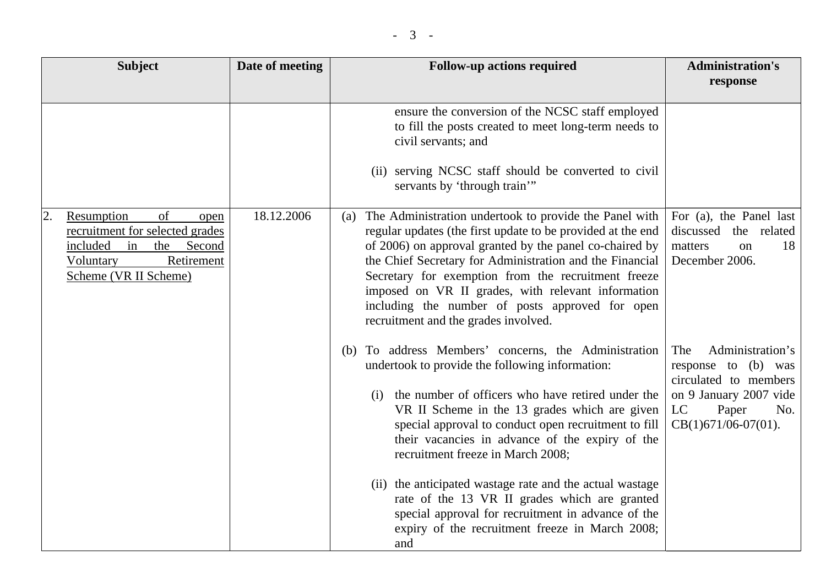| <b>Subject</b>                                                                                                                                        | Date of meeting | <b>Follow-up actions required</b>                                                                                                                                                                                                                                                                                                                                                                                                                                                                                                                                                                    | <b>Administration's</b>                                                                                                                           |
|-------------------------------------------------------------------------------------------------------------------------------------------------------|-----------------|------------------------------------------------------------------------------------------------------------------------------------------------------------------------------------------------------------------------------------------------------------------------------------------------------------------------------------------------------------------------------------------------------------------------------------------------------------------------------------------------------------------------------------------------------------------------------------------------------|---------------------------------------------------------------------------------------------------------------------------------------------------|
|                                                                                                                                                       |                 |                                                                                                                                                                                                                                                                                                                                                                                                                                                                                                                                                                                                      | response                                                                                                                                          |
|                                                                                                                                                       |                 | ensure the conversion of the NCSC staff employed<br>to fill the posts created to meet long-term needs to<br>civil servants; and<br>(ii) serving NCSC staff should be converted to civil<br>servants by 'through train'"                                                                                                                                                                                                                                                                                                                                                                              |                                                                                                                                                   |
| Resumption<br>of<br>2.<br>open<br>recruitment for selected grades<br>included<br>in<br>the Second<br>Retirement<br>Voluntary<br>Scheme (VR II Scheme) | 18.12.2006      | The Administration undertook to provide the Panel with<br>(a)<br>regular updates (the first update to be provided at the end<br>of 2006) on approval granted by the panel co-chaired by<br>the Chief Secretary for Administration and the Financial<br>Secretary for exemption from the recruitment freeze<br>imposed on VR II grades, with relevant information<br>including the number of posts approved for open<br>recruitment and the grades involved.                                                                                                                                          | For (a), the Panel last<br>discussed<br>the related<br>18<br>matters<br>on<br>December 2006.                                                      |
|                                                                                                                                                       |                 | To address Members' concerns, the Administration<br>(b)<br>undertook to provide the following information:<br>the number of officers who have retired under the<br>(i)<br>VR II Scheme in the 13 grades which are given<br>special approval to conduct open recruitment to fill<br>their vacancies in advance of the expiry of the<br>recruitment freeze in March 2008;<br>(ii) the anticipated wastage rate and the actual wastage<br>rate of the 13 VR II grades which are granted<br>special approval for recruitment in advance of the<br>expiry of the recruitment freeze in March 2008;<br>and | The<br>Administration's<br>response to (b) was<br>circulated to members<br>on 9 January 2007 vide<br>LC<br>Paper<br>No.<br>$CB(1)671/06-07(01)$ . |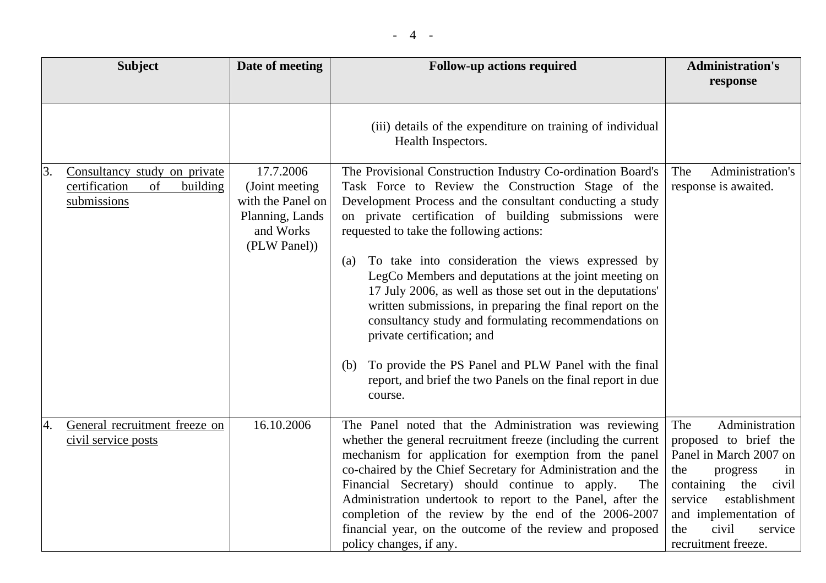| <b>Subject</b>                                                                       | Date of meeting                                                                                   | <b>Follow-up actions required</b>                                                                                                                                                                                                                                                                                                                                                                                                                                                                                                                                                                                                                                                                                                                                  | <b>Administration's</b><br>response                                                                                                                                                                                              |
|--------------------------------------------------------------------------------------|---------------------------------------------------------------------------------------------------|--------------------------------------------------------------------------------------------------------------------------------------------------------------------------------------------------------------------------------------------------------------------------------------------------------------------------------------------------------------------------------------------------------------------------------------------------------------------------------------------------------------------------------------------------------------------------------------------------------------------------------------------------------------------------------------------------------------------------------------------------------------------|----------------------------------------------------------------------------------------------------------------------------------------------------------------------------------------------------------------------------------|
|                                                                                      |                                                                                                   | (iii) details of the expenditure on training of individual<br>Health Inspectors.                                                                                                                                                                                                                                                                                                                                                                                                                                                                                                                                                                                                                                                                                   |                                                                                                                                                                                                                                  |
| Consultancy study on private<br>3.<br>certification<br>of<br>building<br>submissions | 17.7.2006<br>(Joint meeting)<br>with the Panel on<br>Planning, Lands<br>and Works<br>(PLW Panel)) | The Provisional Construction Industry Co-ordination Board's<br>Task Force to Review the Construction Stage of the<br>Development Process and the consultant conducting a study<br>on private certification of building submissions were<br>requested to take the following actions:<br>To take into consideration the views expressed by<br>(a)<br>LegCo Members and deputations at the joint meeting on<br>17 July 2006, as well as those set out in the deputations'<br>written submissions, in preparing the final report on the<br>consultancy study and formulating recommendations on<br>private certification; and<br>To provide the PS Panel and PLW Panel with the final<br>(b)<br>report, and brief the two Panels on the final report in due<br>course. | The<br>Administration's<br>response is awaited.                                                                                                                                                                                  |
| General recruitment freeze on<br>4.<br>civil service posts                           | 16.10.2006                                                                                        | The Panel noted that the Administration was reviewing<br>whether the general recruitment freeze (including the current<br>mechanism for application for exemption from the panel<br>co-chaired by the Chief Secretary for Administration and the<br>Financial Secretary) should continue to apply.<br>The<br>Administration undertook to report to the Panel, after the<br>completion of the review by the end of the 2006-2007<br>financial year, on the outcome of the review and proposed<br>policy changes, if any.                                                                                                                                                                                                                                            | Administration<br>The<br>proposed to brief the<br>Panel in March 2007 on<br>the<br>progress<br>in<br>containing the<br>civil<br>service establishment<br>and implementation of<br>civil<br>the<br>service<br>recruitment freeze. |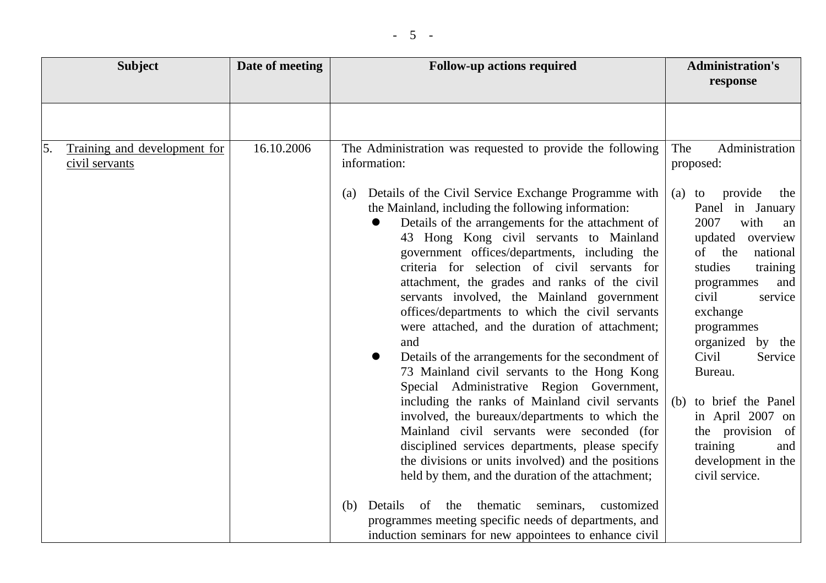|               | <b>Subject</b>                                 | Date of meeting | <b>Follow-up actions required</b>                                                                                                                                                                                                                                                                                                                                                                                                                                                                                                                                                                                                                                                                                                                           | <b>Administration's</b>                                                                                                                                                                                                                                                                                                |
|---------------|------------------------------------------------|-----------------|-------------------------------------------------------------------------------------------------------------------------------------------------------------------------------------------------------------------------------------------------------------------------------------------------------------------------------------------------------------------------------------------------------------------------------------------------------------------------------------------------------------------------------------------------------------------------------------------------------------------------------------------------------------------------------------------------------------------------------------------------------------|------------------------------------------------------------------------------------------------------------------------------------------------------------------------------------------------------------------------------------------------------------------------------------------------------------------------|
| <sup>5.</sup> | Training and development for<br>civil servants | 16.10.2006      | The Administration was requested to provide the following<br>information:<br>Details of the Civil Service Exchange Programme with<br>(a)<br>the Mainland, including the following information:<br>Details of the arrangements for the attachment of<br>43 Hong Kong civil servants to Mainland<br>government offices/departments, including the<br>criteria for selection of civil servants for<br>attachment, the grades and ranks of the civil<br>servants involved, the Mainland government<br>offices/departments to which the civil servants<br>were attached, and the duration of attachment;<br>and<br>Details of the arrangements for the secondment of<br>73 Mainland civil servants to the Hong Kong<br>Special Administrative Region Government, | response<br>Administration<br>The<br>proposed:<br>provide<br>the<br>$(a)$ to<br>Panel in January<br>2007<br>with<br>an<br>updated<br>overview<br>of<br>the<br>national<br>studies<br>training<br>and<br>programmes<br>civil<br>service<br>exchange<br>programmes<br>organized<br>by the<br>Civil<br>Service<br>Bureau. |
|               |                                                |                 | including the ranks of Mainland civil servants<br>involved, the bureaux/departments to which the<br>Mainland civil servants were seconded (for<br>disciplined services departments, please specify<br>the divisions or units involved) and the positions<br>held by them, and the duration of the attachment;                                                                                                                                                                                                                                                                                                                                                                                                                                               | to brief the Panel<br>(b)<br>in April 2007 on<br>the provision of<br>training<br>and<br>development in the<br>civil service.                                                                                                                                                                                           |
|               |                                                |                 | Details<br>of the<br>thematic<br>seminars,<br>(b)<br>customized<br>programmes meeting specific needs of departments, and<br>induction seminars for new appointees to enhance civil                                                                                                                                                                                                                                                                                                                                                                                                                                                                                                                                                                          |                                                                                                                                                                                                                                                                                                                        |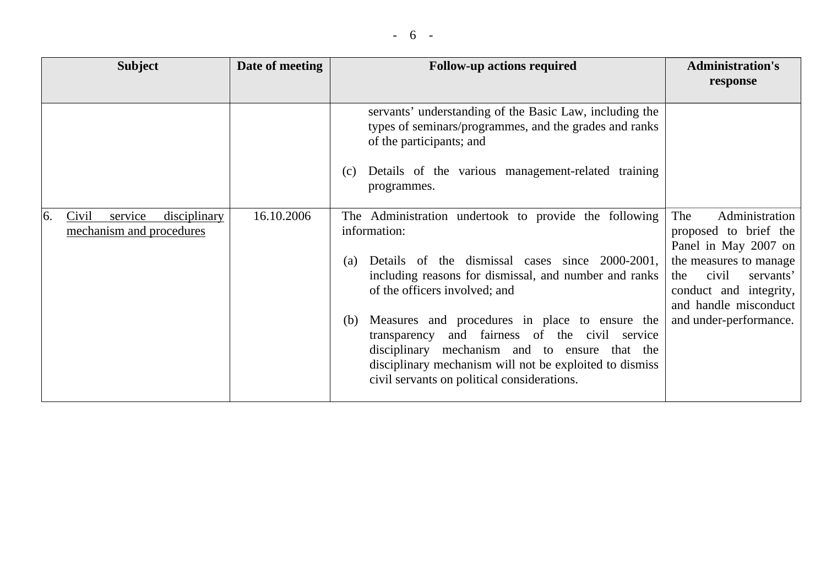| <b>Subject</b>                                                                | Date of meeting | <b>Follow-up actions required</b>                                                                                                                                                                                                                                                                                                                                                                                                                                                                                                                                                                                                                                                                                                  | <b>Administration's</b><br>response                                                                                                                                                                        |
|-------------------------------------------------------------------------------|-----------------|------------------------------------------------------------------------------------------------------------------------------------------------------------------------------------------------------------------------------------------------------------------------------------------------------------------------------------------------------------------------------------------------------------------------------------------------------------------------------------------------------------------------------------------------------------------------------------------------------------------------------------------------------------------------------------------------------------------------------------|------------------------------------------------------------------------------------------------------------------------------------------------------------------------------------------------------------|
| <sup>6.</sup><br>Civil<br>service<br>disciplinary<br>mechanism and procedures | 16.10.2006      | servants' understanding of the Basic Law, including the<br>types of seminars/programmes, and the grades and ranks<br>of the participants; and<br>Details of the various management-related training<br>(c)<br>programmes.<br>The Administration undertook to provide the following<br>information:<br>Details of the dismissal cases since 2000-2001,<br>(a)<br>including reasons for dismissal, and number and ranks<br>of the officers involved; and<br>Measures and procedures in place to ensure the<br>(b)<br>fairness of the civil service<br>and<br>transparency<br>disciplinary mechanism and to ensure that the<br>disciplinary mechanism will not be exploited to dismiss<br>civil servants on political considerations. | Administration<br>The<br>proposed to brief the<br>Panel in May 2007 on<br>the measures to manage<br>civil<br>servants'<br>the<br>conduct and integrity,<br>and handle misconduct<br>and under-performance. |